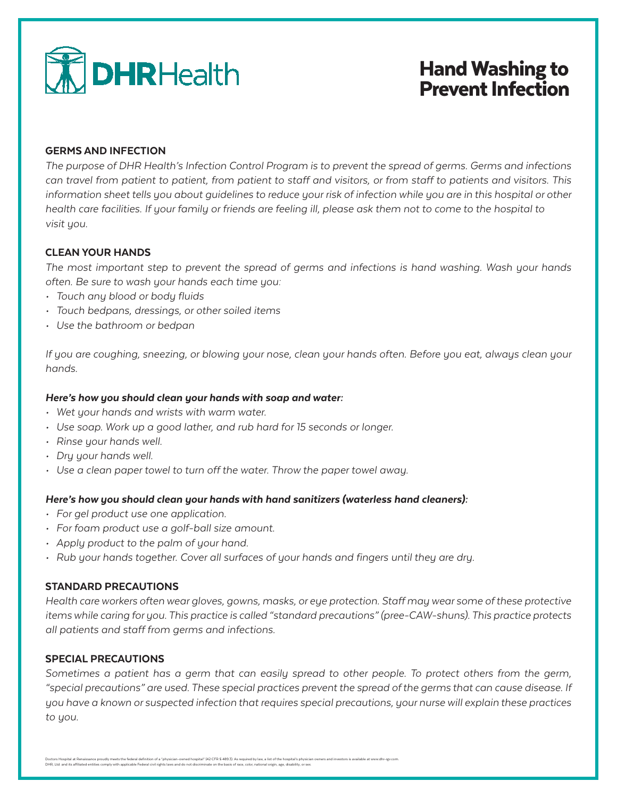

## Hand Washing to Prevent Infection

#### GERMS AND INFECTION

*The purpose of DHR Health's Infection Control Program is to prevent the spread of germs. Germs and infections can travel from patient to patient, from patient to staff and visitors, or from staff to patients and visitors. This information sheet tells you about guidelines to reduce your risk of infection while you are in this hospital or other health care facilities. If your family or friends are feeling ill, please ask them not to come to the hospital to visit you.* 

#### CLEAN YOUR HANDS

*The most important step to prevent the spread of germs and infections is hand washing. Wash your hands often. Be sure to wash your hands each time you:*

- *• Touch any blood or body fluids*
- *• Touch bedpans, dressings, or other soiled items*
- *• Use the bathroom or bedpan*

*If you are coughing, sneezing, or blowing your nose, clean your hands often. Before you eat, always clean your hands.*

#### *Here's how you should clean your hands with soap and water:*

- *• Wet your hands and wrists with warm water.*
- *• Use soap. Work up a good lather, and rub hard for 15 seconds or longer.*
- *• Rinse your hands well.*
- *• Dry your hands well.*
- *• Use a clean paper towel to turn off the water. Throw the paper towel away.*

#### *Here's how you should clean your hands with hand sanitizers (waterless hand cleaners):*

- *• For gel product use one application.*
- *• For foam product use a golf-ball size amount.*
- *• Apply product to the palm of your hand.*
- *• Rub your hands together. Cover all surfaces of your hands and fingers until they are dry.*

#### STANDARD PRECAUTIONS

*Health care workers often wear gloves, gowns, masks, or eye protection. Staff may wear some of these protective items while caring for you. This practice is called "standard precautions" (pree-CAW-shuns). This practice protects all patients and staff from germs and infections.* 

## SPECIAL PRECAUTIONS

*Sometimes a patient has a germ that can easily spread to other people. To protect others from the germ, "special precautions" are used. These special practices prevent the spread of the germs that can cause disease. If you have a known or suspected infection that requires special precautions, your nurse will explain these practices to you.* 

Doctors Hospital at Renaissance proudly meets the federal definition of a "physician-owned hospital" (42 CFR \$ 489.3). As required by law, a list of the hospital's physician owners and investors is available at www.dhr-rgv DHR, Ltd. and its affiliated entities comply with applicable Federal civil rights laws and do not discriminate on the basis of race, color, national origin, age, disability, or sex.